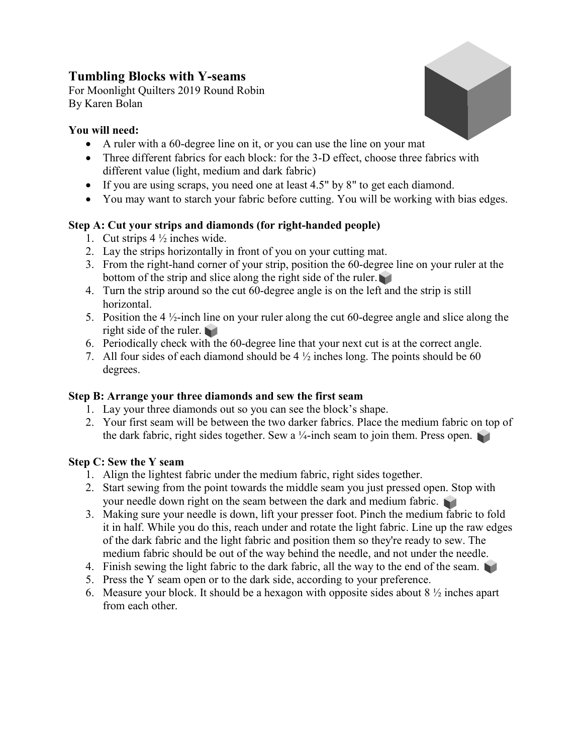### Tumbling Blocks with Y-seams

For Moonlight Quilters 2019 Round Robin By Karen Bolan

### You will need:



- A ruler with a 60-degree line on it, or you can use the line on your mat
- Three different fabrics for each block: for the 3-D effect, choose three fabrics with different value (light, medium and dark fabric)
- If you are using scraps, you need one at least 4.5" by 8" to get each diamond.
- You may want to starch your fabric before cutting. You will be working with bias edges.

# Step A: Cut your strips and diamonds (for right-handed people)

- 1. Cut strips 4 ½ inches wide.
- 2. Lay the strips horizontally in front of you on your cutting mat.
- 3. From the right-hand corner of your strip, position the 60-degree line on your ruler at the bottom of the strip and slice along the right side of the ruler.
- 4. Turn the strip around so the cut 60-degree angle is on the left and the strip is still horizontal.
- 5. Position the 4 ½-inch line on your ruler along the cut 60-degree angle and slice along the right side of the ruler.
- 6. Periodically check with the 60-degree line that your next cut is at the correct angle.
- 7. All four sides of each diamond should be  $4\frac{1}{2}$  inches long. The points should be 60 degrees.

# Step B: Arrange your three diamonds and sew the first seam

- 1. Lay your three diamonds out so you can see the block's shape.
- 2. Your first seam will be between the two darker fabrics. Place the medium fabric on top of the dark fabric, right sides together. Sew a  $\frac{1}{4}$ -inch seam to join them. Press open.

# Step C: Sew the Y seam

- 1. Align the lightest fabric under the medium fabric, right sides together.
- 2. Start sewing from the point towards the middle seam you just pressed open. Stop with your needle down right on the seam between the dark and medium fabric.
- 3. Making sure your needle is down, lift your presser foot. Pinch the medium fabric to fold it in half. While you do this, reach under and rotate the light fabric. Line up the raw edges of the dark fabric and the light fabric and position them so they're ready to sew. The medium fabric should be out of the way behind the needle, and not under the needle.
- 4. Finish sewing the light fabric to the dark fabric, all the way to the end of the seam.
- 5. Press the Y seam open or to the dark side, according to your preference.
- 6. Measure your block. It should be a hexagon with opposite sides about  $8\frac{1}{2}$  inches apart from each other.